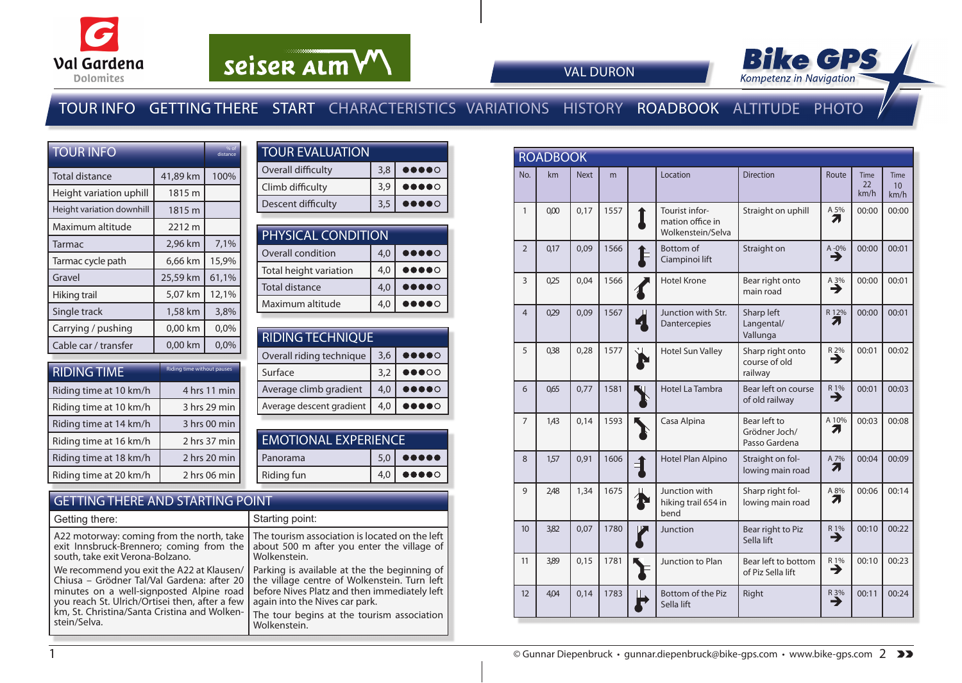



VAL DURON

### TOUR INFO GETTING THERE START CHARACTERISTICS VARIATIONS HISTORY ROADBOOK ALTITUDE PHOTO

| <b>TOUR INFO</b>          |          | % of<br>distance |
|---------------------------|----------|------------------|
| <b>Total distance</b>     | 41,89 km | 100%             |
| Height variation uphill   | 1815 m   |                  |
| Height variation downhill | 1815 m   |                  |
| Maximum altitude          | 2212 m   |                  |
| Tarmac                    | 2,96 km  | 7,1%             |
| Tarmac cycle path         | 6,66 km  | 15,9%            |
| Gravel                    | 25,59 km | 61,1%            |
| Hiking trail              | 5,07 km  | 12,1%            |
| Single track              | 1,58 km  | 3,8%             |
| Carrying / pushing        | 0,00 km  | 0,0%             |
| Cable car / transfer      | 0,00 km  | 0,0%             |

| <b>RIDING TIME</b>     | Riding time without pauses |
|------------------------|----------------------------|
| Riding time at 10 km/h | 4 hrs 11 min               |
| Riding time at 10 km/h | 3 hrs 29 min               |
| Riding time at 14 km/h | 3 hrs 00 min               |
| Riding time at 16 km/h | 2 hrs 37 min               |
| Riding time at 18 km/h | 2 hrs 20 min               |
| Riding time at 20 km/h | 2 hrs 06 min               |

| <b>TOUR EVALUATION</b> |     |                                                                        |
|------------------------|-----|------------------------------------------------------------------------|
| Overall difficulty     | 3.8 | 00000                                                                  |
| Climb difficulty       | 3.9 | $\begin{array}{cc} \bullet\bullet\bullet\bullet\circ\circ \end{array}$ |
| Descent difficulty     | 3,5 | <b></b>                                                                |

| PHYSICAL CONDITION     |     |                                                                                                                                                                                                                                                                                                                                                     |  |  |  |  |  |  |
|------------------------|-----|-----------------------------------------------------------------------------------------------------------------------------------------------------------------------------------------------------------------------------------------------------------------------------------------------------------------------------------------------------|--|--|--|--|--|--|
| Overall condition      | 4,0 | $\begin{picture}(20,20) \put(0,0){\line(1,0){10}} \put(15,0){\line(1,0){10}} \put(15,0){\line(1,0){10}} \put(15,0){\line(1,0){10}} \put(15,0){\line(1,0){10}} \put(15,0){\line(1,0){10}} \put(15,0){\line(1,0){10}} \put(15,0){\line(1,0){10}} \put(15,0){\line(1,0){10}} \put(15,0){\line(1,0){10}} \put(15,0){\line(1,0){10}} \put(15,0){\line(1$ |  |  |  |  |  |  |
| Total height variation | 4,0 | $\bullet\bullet\bullet\circ$                                                                                                                                                                                                                                                                                                                        |  |  |  |  |  |  |
| Total distance         | 4,0 | $\begin{array}{cc} \bullet\bullet\bullet\bullet\circ\circ \end{array}$                                                                                                                                                                                                                                                                              |  |  |  |  |  |  |
| Maximum altitude       | 4.0 | $\bullet\bullet\circ$                                                                                                                                                                                                                                                                                                                               |  |  |  |  |  |  |

| <b>RIDING TECHNIQUE</b> |                                                                                                                                                                                                                                                                                                                                                     |  |  |  |  |  |  |  |
|-------------------------|-----------------------------------------------------------------------------------------------------------------------------------------------------------------------------------------------------------------------------------------------------------------------------------------------------------------------------------------------------|--|--|--|--|--|--|--|
| 3,6                     | $\begin{picture}(20,20) \put(0,0){\line(1,0){10}} \put(15,0){\line(1,0){10}} \put(15,0){\line(1,0){10}} \put(15,0){\line(1,0){10}} \put(15,0){\line(1,0){10}} \put(15,0){\line(1,0){10}} \put(15,0){\line(1,0){10}} \put(15,0){\line(1,0){10}} \put(15,0){\line(1,0){10}} \put(15,0){\line(1,0){10}} \put(15,0){\line(1,0){10}} \put(15,0){\line(1$ |  |  |  |  |  |  |  |
| 3,2                     | $\bullet\bullet\circ\circ$                                                                                                                                                                                                                                                                                                                          |  |  |  |  |  |  |  |
| 4,0                     | $\bullet\bullet\bullet\bullet\circ$                                                                                                                                                                                                                                                                                                                 |  |  |  |  |  |  |  |
| 4,0                     | $\bullet\bullet$<br>$\bullet\circ$                                                                                                                                                                                                                                                                                                                  |  |  |  |  |  |  |  |
|                         |                                                                                                                                                                                                                                                                                                                                                     |  |  |  |  |  |  |  |

| <b>EMOTIONAL EXPERIENCE</b> |  |                                               |  |  |  |  |
|-----------------------------|--|-----------------------------------------------|--|--|--|--|
| Panorama                    |  | $5,0$ $\bullet$ $\bullet$ $\bullet$ $\bullet$ |  |  |  |  |
| <b>Riding fun</b>           |  | $\bullet\bullet\bullet\bullet\circ$           |  |  |  |  |
|                             |  |                                               |  |  |  |  |

#### GETTING THERE AND STARTING POINT

| Getting there:                                 | Starting point:                                |
|------------------------------------------------|------------------------------------------------|
| A22 motorway: coming from the north, take      | The tourism association is located on the left |
| exit Innsbruck-Brennero; coming from the       | about 500 m after you enter the village of     |
| south, take exit Verona-Bolzano.               | Wolkenstein.                                   |
| We recommend you exit the A22 at Klausen/      | Parking is available at the the beginning of   |
| Chiusa – Grödner Tal/Val Gardena: after 20     | the village centre of Wolkenstein. Turn left   |
| minutes on a well-signposted Alpine road       | before Nives Platz and then immediately left   |
| you reach St. Ulrich/Ortisei then, after a few | again into the Nives car park.                 |
| km, St. Christina/Santa Cristina and Wolken-   | The tour begins at the tourism association     |
| stein/Selva.                                   | Wolkenstein.                                   |

|                | <b>ROADBOOK</b> |             |      |                                                         |                                                |                      |                           |                           |
|----------------|-----------------|-------------|------|---------------------------------------------------------|------------------------------------------------|----------------------|---------------------------|---------------------------|
| No.            | km              | <b>Next</b> | m    | Location                                                | <b>Direction</b>                               | Route                | <b>Time</b><br>22<br>km/h | <b>Time</b><br>10<br>km/h |
| $\mathbf{1}$   | 0,00            | 0,17        | 1557 | Tourist infor-<br>mation office in<br>Wolkenstein/Selva | Straight on uphill                             | A 5%<br>71           | 00:00                     | 00:00                     |
| $\overline{2}$ | 0,17            | 0,09        | 1566 | Bottom of<br>Ciampinoi lift                             | Straight on                                    | $A - 0\%$            | 00:00                     | 00:01                     |
| 3              | 0,25            | 0,04        | 1566 | <b>Hotel Krone</b>                                      | Bear right onto<br>main road                   | $A_3\%$              | 00:00                     | 00:01                     |
| $\overline{4}$ | 0,29            | 0.09        | 1567 | Junction with Str.<br>Dantercepies                      | Sharp left<br>Langental/<br>Vallunga           | R 12%<br>7           | 00:00                     | 00:01                     |
| 5              | 0,38            | 0,28        | 1577 | <b>Hotel Sun Valley</b>                                 | Sharp right onto<br>course of old<br>railway   | $R_2\%$              | 00:01                     | 00:02                     |
| 6              | 065             | 0.77        | 1581 | <b>Hotel La Tambra</b>                                  | Bear left on course<br>of old railway          | $\overrightarrow{ }$ | 00:01                     | 00:03                     |
| $\overline{7}$ | 1,43            | 0,14        | 1593 | Casa Alpina                                             | Bear left to<br>Grödner Joch/<br>Passo Gardena | A 10%<br>71          | 00:03                     | 00:08                     |
| 8              | 1,57            | 0,91        | 1606 | Hotel Plan Alpino                                       | Straight on fol-<br>lowing main road           | A 7%<br>7            | 00:04                     | 00:09                     |
| 9              | 2,48            | 1,34        | 1675 | Junction with<br>hiking trail 654 in<br>bend            | Sharp right fol-<br>lowing main road           | A 8%<br>71           | 00:06                     | 00:14                     |
| 10             | 3,82            | 0,07        | 1780 | Junction                                                | Bear right to Piz<br>Sella lift                | $R_{1\%}$            | 00:10                     | 00:22                     |
| 11             | 3,89            | 0.15        | 1781 | Junction to Plan                                        | Bear left to bottom<br>of Piz Sella lift       | R 1%<br>⋺            | 00:10                     | 00:23                     |
| 12             | 404             | 0,14        | 1783 | Bottom of the Piz<br>Sella lift                         | Right                                          | $R_3\%$              | 00:11                     | 00:24                     |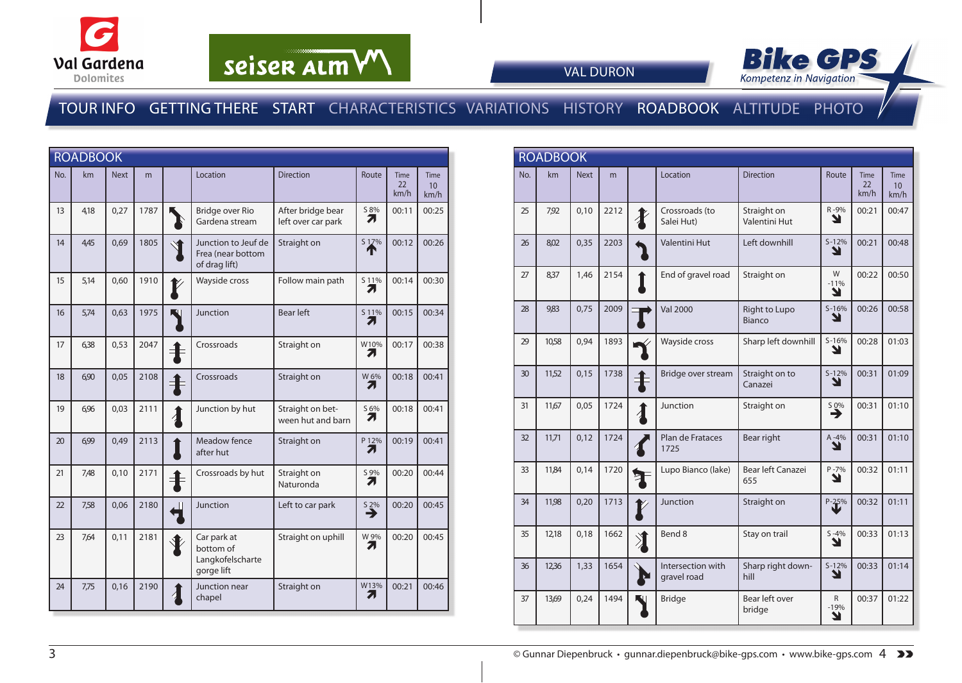



VAL DURON

### TOUR INFO GETTING THERE START CHARACTERISTICS VARIATIONS HISTORY ROADBOOK ALTITUDE PHOTO

|     | <b>ROADBOOK</b> |             |      |    |                                                            |                                         |                       |                    |                                  |
|-----|-----------------|-------------|------|----|------------------------------------------------------------|-----------------------------------------|-----------------------|--------------------|----------------------------------|
| No. | km              | <b>Next</b> | m    |    | Location                                                   | <b>Direction</b>                        | Route                 | Time<br>22<br>km/h | Time<br>10 <sup>10</sup><br>km/h |
| 13  | 4,18            | 0,27        | 1787 |    | Bridge over Rio<br>Gardena stream                          | After bridge bear<br>left over car park | S 8%<br>71            | 00:11              | 00:25                            |
| 14  | 4,45            | 0,69        | 1805 |    | Junction to Jeuf de<br>Frea (near bottom<br>of drag lift)  | Straight on                             | S 17%                 | 00:12              | 00:26                            |
| 15  | 5,14            | 0,60        | 1910 |    | Wayside cross                                              | Follow main path                        | 511%<br>Л             | 00:14              | 00:30                            |
| 16  | 5,74            | 0,63        | 1975 | U, | Junction                                                   | <b>Bear left</b>                        | 511%<br>7.            | 00:15              | 00:34                            |
| 17  | 6,38            | 0,53        | 2047 |    | Crossroads                                                 | Straight on                             | W10%<br>71            | 00:17              | 00:38                            |
| 18  | 6,90            | 0,05        | 2108 |    | Crossroads                                                 | Straight on                             | W 6%<br>71            | 00:18              | 00:41                            |
| 19  | 6,96            | 0,03        | 2111 |    | Junction by hut                                            | Straight on bet-<br>ween hut and barn   | S 6%<br>71            | 00:18              | 00:41                            |
| 20  | 6,99            | 0,49        | 2113 |    | Meadow fence<br>after hut                                  | Straight on                             | P 12%<br>7.           | 00:19              | 00:41                            |
| 21  | 7,48            | 0,10        | 2171 | 丰  | Crossroads by hut                                          | Straight on<br>Naturonda                | S 9%<br>7             | 00:20              | 00:44                            |
| 22  | 7,58            | 0,06        | 2180 |    | Junction                                                   | Left to car park                        | $\sum_{n=1}^{\infty}$ | 00:20              | 00:45                            |
| 23  | 7,64            | 0,11        | 2181 |    | Car park at<br>bottom of<br>Langkofelscharte<br>gorge lift | Straight on uphill                      | W 9%<br>7.            | 00:20              | 00:45                            |
| 24  | 7,75            | 0,16        | 2190 |    | Junction near<br>chapel                                    | Straight on                             | W13%<br>7.            | 00:21              | 00:46                            |

|     | <b>ROADBOOK</b> |             |      |                  |                                  |                                     |                  |                           |                                         |
|-----|-----------------|-------------|------|------------------|----------------------------------|-------------------------------------|------------------|---------------------------|-----------------------------------------|
| No. | km              | <b>Next</b> | m    |                  | Location                         | <b>Direction</b>                    | Route            | <b>Time</b><br>22<br>km/h | <b>Time</b><br>10 <sup>10</sup><br>km/h |
| 25  | 7,92            | 0,10        | 2212 | $\boldsymbol{X}$ | Crossroads (to<br>Salei Hut)     | Straight on<br><b>Valentini Hut</b> | R-9%<br>N        | 00:21                     | 00:47                                   |
| 26  | 8,02            | 0,35        | 2203 |                  | <b>Valentini Hut</b>             | Left downhill                       | $S-12%$<br>N     | 00:21                     | 00:48                                   |
| 27  | 8,37            | 1,46        | 2154 |                  | End of gravel road               | Straight on                         | W<br>$-11%$<br>Y | 00:22                     | 00:50                                   |
| 28  | 983             | 0,75        | 2009 |                  | <b>Val 2000</b>                  | Right to Lupo<br>Bianco             | $S-16%$<br>Y     | 00:26                     | 00:58                                   |
| 29  | 10,58           | 0,94        | 1893 |                  | Wayside cross                    | Sharp left downhill                 | $S-16%$<br>Y     | 00:28                     | 01:03                                   |
| 30  | 11,52           | 0,15        | 1738 |                  | Bridge over stream               | Straight on to<br>Canazei           | $S-12%$<br>Y     | 00:31                     | 01:09                                   |
| 31  | 11,67           | 0.05        | 1724 | $\overline{A}$   | Junction                         | Straight on                         | S 0%<br>→        | 00:31                     | 01:10                                   |
| 32  | 11,71           | 0.12        | 1724 |                  | Plan de Frataces<br>1725         | Bear right                          | $A - 4%$<br>Y    | 00:31                     | 01:10                                   |
| 33  | 11,84           | 0,14        | 1720 |                  | Lupo Bianco (lake)               | Bear left Canazei<br>655            | $P - 7%$<br>N    | 00:32                     | 01:11                                   |
| 34  | 11,98           | 0,20        | 1713 |                  | Junction                         | Straight on                         | $P - 25%$        | 00:32                     | 01:11                                   |
| 35  | 12,18           | 0,18        | 1662 | *                | Bend 8                           | Stay on trail                       | $S - 4%$<br>N    | 00:33                     | 01:13                                   |
| 36  | 12,36           | 1,33        | 1654 |                  | Intersection with<br>gravel road | Sharp right down-<br>hill           | $S - 12%$<br>Y   | 00:33                     | 01:14                                   |
| 37  | 13,69           | 0.24        | 1494 |                  | <b>Bridge</b>                    | Bear left over<br>bridge            | R<br>$-19%$<br>Y | 00:37                     | 01:22                                   |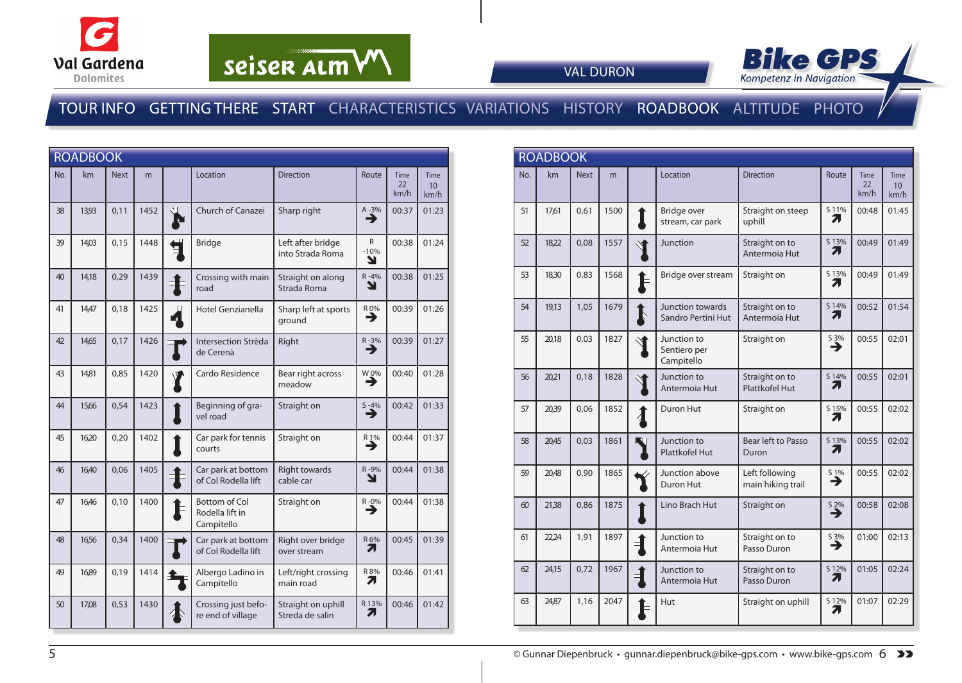



VAL DURON

### TOUR INFO GETTING THERE START CHARACTERISTICS VARIATIONS HISTORY ROADBOOK ALTITUDE PHOTO

|     | <b>ROADBOOK</b> |             |      |                |                                                       |                                       |                             |                           |                                        |
|-----|-----------------|-------------|------|----------------|-------------------------------------------------------|---------------------------------------|-----------------------------|---------------------------|----------------------------------------|
| No. | km              | <b>Next</b> | m    |                | Location                                              | <b>Direction</b>                      | Route                       | <b>Time</b><br>22<br>km/h | <b>Time</b><br>10 <sup>°</sup><br>km/h |
| 38  | 13,93           | 0,11        | 1452 |                | Church of Canazei                                     | Sharp right                           | $A - 3\%$                   | 00:37                     | 01:23                                  |
| 39  | 14.03           | 0,15        | 1448 |                | <b>Bridge</b>                                         | Left after bridge<br>into Strada Roma | $\mathsf{R}$<br>$-10%$<br>Ł | 00:38                     | 01:24                                  |
| 40  | 14,18           | 0,29        | 1439 |                | Crossing with main<br>road                            | Straight on along<br>Strada Roma      | $R - 4%$<br>Y               | 00:38                     | 01:25                                  |
| 41  | 14,47           | 0,18        | 1425 | $\mathbf{z}_1$ | Hotel Genzianella                                     | Sharp left at sports<br>ground        | R 0%<br>→                   | 00:39                     | 01:26                                  |
| 42  | 14,65           | 0,17        | 1426 |                | Intersection Strèda<br>de Cerenà                      | Right                                 | R-3%<br>→                   | 00:39                     | 01:27                                  |
| 43  | 14,81           | 0,85        | 1420 |                | Cardo Residence                                       | Bear right across<br>meadow           | W 0%<br>→                   | 00:40                     | 01:28                                  |
| 44  | 15,66           | 0,54        | 1423 |                | Beginning of gra-<br>vel road                         | Straight on                           | $S - 4%$<br>→               | 00:42                     | 01:33                                  |
| 45  | 16,20           | 0,20        | 1402 |                | Car park for tennis<br>courts                         | Straight on                           | R 1%<br>→                   | 00:44                     | 01:37                                  |
| 46  | 16,40           | 0,06        | 1405 | E              | Car park at bottom<br>of Col Rodella lift             | <b>Right towards</b><br>cable car     | R-9%<br>Y                   | 00:44                     | 01:38                                  |
| 47  | 16,46           | 0,10        | 1400 |                | <b>Bottom of Col</b><br>Rodella lift in<br>Campitello | Straight on                           | $R - 0\%$                   | 00:44                     | 01:38                                  |
| 48  | 16,56           | 0,34        | 1400 |                | Car park at bottom<br>of Col Rodella lift             | Right over bridge<br>over stream      | R 6%<br>71                  | 00:45                     | 01:39                                  |
| 49  | 16,89           | 0,19        | 1414 |                | Albergo Ladino in<br>Campitello                       | Left/right crossing<br>main road      | R 8%<br>71                  | 00:46                     | 01:41                                  |
| 50  | 17,08           | 0,53        | 1430 |                | Crossing just befo-<br>re end of village              | Straight on uphill<br>Streda de salin | R 13%<br>7.                 | 00:46                     | 01:42                                  |

|     | <b>ROADBOOK</b> |             |      |                        |                                           |                                         |                               |                           |                                         |
|-----|-----------------|-------------|------|------------------------|-------------------------------------------|-----------------------------------------|-------------------------------|---------------------------|-----------------------------------------|
| No. | km              | <b>Next</b> | m    |                        | Location                                  | <b>Direction</b>                        | Route                         | <b>Time</b><br>22<br>km/h | <b>Time</b><br>10 <sup>10</sup><br>km/h |
| 51  | 17.61           | 0.61        | 1500 |                        | Bridge over<br>stream, car park           | Straight on steep<br>uphill             | S 11%<br>71                   | 00:48                     | 01:45                                   |
| 52  | 18,22           | 0,08        | 1557 |                        | <b>Junction</b>                           | Straight on to<br>Antermoia Hut         | S 13%<br>71                   | 00:49                     | 01:49                                   |
| 53  | 18,30           | 0,83        | 1568 |                        | Bridge over stream                        | Straight on                             | S 13%<br>Ζ.                   | 00:49                     | 01:49                                   |
| 54  | 19,13           | 1,05        | 1679 |                        | Junction towards<br>Sandro Pertini Hut    | Straight on to<br>Antermoia Hut         | S 14%<br>7.                   | 00:52                     | 01:54                                   |
| 55  | 20,18           | 0.03        | 1827 |                        | Junction to<br>Sentiero per<br>Campitello | Straight on                             | S 3%<br>⊣                     | 00:55                     | 02:01                                   |
| 56  | 20,21           | 0,18        | 1828 |                        | Junction to<br>Antermoia Hut              | Straight on to<br><b>Plattkofel Hut</b> | S 14%<br>71                   | 00:55                     | 02:01                                   |
| 57  | 20,39           | 0,06        | 1852 | $\boldsymbol{\lambda}$ | Duron Hut                                 | Straight on                             | S 15%<br>71                   | 00:55                     | 02:02                                   |
| 58  | 20,45           | 0,03        | 1861 |                        | Junction to<br><b>Plattkofel Hut</b>      | Bear left to Passo<br>Duron             | S 13%<br>Ζ.                   | 00:55                     | 02:02                                   |
| 59  | 20,48           | 0,90        | 1865 |                        | Junction above<br>Duron Hut               | Left following<br>main hiking trail     | $S_1\%$<br>→                  | 00:55                     | 02:02                                   |
| 60  | 21,38           | 0.86        | 1875 |                        | Lino Brach Hut                            | Straight on                             | $\overset{52\%}{\rightarrow}$ | 00:58                     | 02:08                                   |
| 61  | 22,24           | 1,91        | 1897 |                        | Junction to<br>Antermoia Hut              | Straight on to<br>Passo Duron           | S 3%<br>→                     | 01:00                     | 02:13                                   |
| 62  | 24,15           | 0,72        | 1967 |                        | Junction to<br>Antermoia Hut              | Straight on to<br>Passo Duron           | S 12%<br>Л                    | 01:05                     | 02:24                                   |
| 63  | 24,87           | 1,16        | 2047 |                        | Hut                                       | Straight on uphill                      | S 12%<br>7.                   | 01:07                     | 02:29                                   |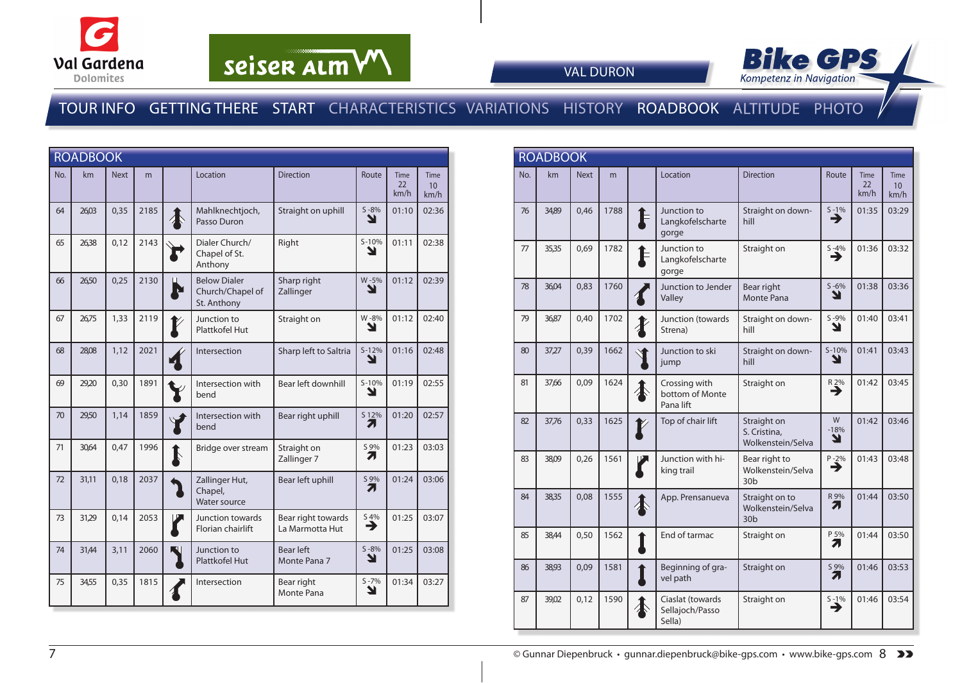



VAL DURON

#### TOUR INFO GETTING THERE START CHARACTERISTICS VARIATIONS HISTORY ROADBOOK ALTITUDE PHOTO

| <b>ROADBOOK</b> |       |             |      |                  |                                                        |                                       |               |                           |                                 |
|-----------------|-------|-------------|------|------------------|--------------------------------------------------------|---------------------------------------|---------------|---------------------------|---------------------------------|
| No.             | km    | <b>Next</b> | m    |                  | Location                                               | <b>Direction</b>                      | Route         | <b>Time</b><br>22<br>km/h | Time<br>10 <sup>1</sup><br>km/h |
| 64              | 26,03 | 0,35        | 2185 | $\boldsymbol{A}$ | Mahlknechtjoch,<br>Passo Duron                         | Straight on uphill                    | $S - 8%$<br>Y | 01:10                     | 02:36                           |
| 65              | 26,38 | 0,12        | 2143 |                  | Dialer Church/<br>Chapel of St.<br>Anthony             | Right                                 | $S-10%$<br>Y  | 01:11                     | 02:38                           |
| 66              | 26,50 | 0,25        | 2130 |                  | <b>Below Dialer</b><br>Church/Chapel of<br>St. Anthony | Sharp right<br>Zallinger              | W-5%<br>Y     | 01:12                     | 02:39                           |
| 67              | 26,75 | 1,33        | 2119 |                  | Junction to<br>Plattkofel Hut                          | Straight on                           | W-8%<br>N     | 01:12                     | 02:40                           |
| 68              | 28,08 | 1,12        | 2021 |                  | Intersection                                           | Sharp left to Saltria                 | $S-12%$<br>Y  | 01:16                     | 02:48                           |
| 69              | 29,20 | 0,30        | 1891 |                  | Intersection with<br>bend                              | Bear left downhill                    | $S-10%$<br>Y  | 01:19                     | 02:55                           |
| 70              | 29,50 | 1,14        | 1859 |                  | Intersection with<br>bend                              | Bear right uphill                     | S 12%<br>71   | 01:20                     | 02:57                           |
| 71              | 30.64 | 0.47        | 1996 | $\mathbf k$      | Bridge over stream                                     | Straight on<br>Zallinger 7            | S 9%<br>7     | 01:23                     | 03:03                           |
| 72              | 31,11 | 0,18        | 2037 |                  | Zallinger Hut,<br>Chapel,<br>Water source              | Bear left uphill                      | S 9%<br>71    | 01:24                     | 03:06                           |
| 73              | 31,29 | 0,14        | 2053 |                  | Junction towards<br>Florian chairlift                  | Bear right towards<br>La Marmotta Hut | 54%<br>→      | 01:25                     | 03:07                           |
| 74              | 31,44 | 3,11        | 2060 |                  | Junction to<br>Plattkofel Hut                          | <b>Bear left</b><br>Monte Pana 7      | $S - 8%$<br>Y | 01:25                     | 03:08                           |
| 75              | 34,55 | 0,35        | 1815 |                  | Intersection                                           | Bear right<br>Monte Pana              | $S - 7%$<br>Y | 01:34                     | 03:27                           |

| <b>ROADBOOK</b> |       |             |      |  |                                               |                                                        |                  |                    |                                        |
|-----------------|-------|-------------|------|--|-----------------------------------------------|--------------------------------------------------------|------------------|--------------------|----------------------------------------|
| No.             | km    | <b>Next</b> | m    |  | Location                                      | <b>Direction</b>                                       | Route            | Time<br>22<br>km/h | <b>Time</b><br>10 <sup>1</sup><br>km/h |
| 76              | 34,89 | 0,46        | 1788 |  | Junction to<br>Langkofelscharte<br>gorge      | Straight on down-<br>hill                              | $S - 1%$<br>→    | 01:35              | 03:29                                  |
| 77              | 35,35 | 0.69        | 1782 |  | Junction to<br>Langkofelscharte<br>gorge      | Straight on                                            | $S - 4%$<br>→    | 01:36              | 03:32                                  |
| 78              | 36,04 | 0,83        | 1760 |  | Junction to Jender<br>Valley                  | Bear right<br><b>Monte Pana</b>                        | $S - 6%$<br>N    | 01:38              | 03:36                                  |
| 79              | 36,87 | 0,40        | 1702 |  | Junction (towards<br>Strena)                  | Straight on down-<br>hill                              | $S - 9%$<br>N    | 01:40              | 03:41                                  |
| 80              | 37,27 | 0,39        | 1662 |  | Junction to ski<br>jump                       | Straight on down-<br>hill                              | $S-10%$<br>צ     | 01:41              | 03:43                                  |
| 81              | 37,66 | 0,09        | 1624 |  | Crossing with<br>bottom of Monte<br>Pana lift | Straight on                                            | R 2%<br>⋺        | 01:42              | 03:45                                  |
| 82              | 37,76 | 0,33        | 1625 |  | Top of chair lift                             | Straight on<br>S. Cristina,<br>Wolkenstein/Selva       | W<br>$-18%$<br>Y | 01:42              | 03:46                                  |
| 83              | 38,09 | 0,26        | 1561 |  | Junction with hi-<br>king trail               | Bear right to<br>Wolkenstein/Selva<br>30 <sub>b</sub>  | $P - 2%$<br>→    | 01:43              | 03:48                                  |
| 84              | 38,35 | 0,08        | 1555 |  | App. Prensanueva                              | Straight on to<br>Wolkenstein/Selva<br>30 <sub>b</sub> | R 9%<br>71       | 01:44              | 03:50                                  |
| 85              | 38,44 | 0,50        | 1562 |  | End of tarmac                                 | Straight on                                            | P 5%<br>71       | 01:44              | 03:50                                  |
| 86              | 38,93 | 0,09        | 1581 |  | Beginning of gra-<br>vel path                 | Straight on                                            | S 9%<br>71       | 01:46              | 03:53                                  |
| 87              | 39,02 | 0,12        | 1590 |  | Ciaslat (towards<br>Sellajoch/Passo<br>Sella) | Straight on                                            | $S - 1%$<br>→    | 01:46              | 03:54                                  |